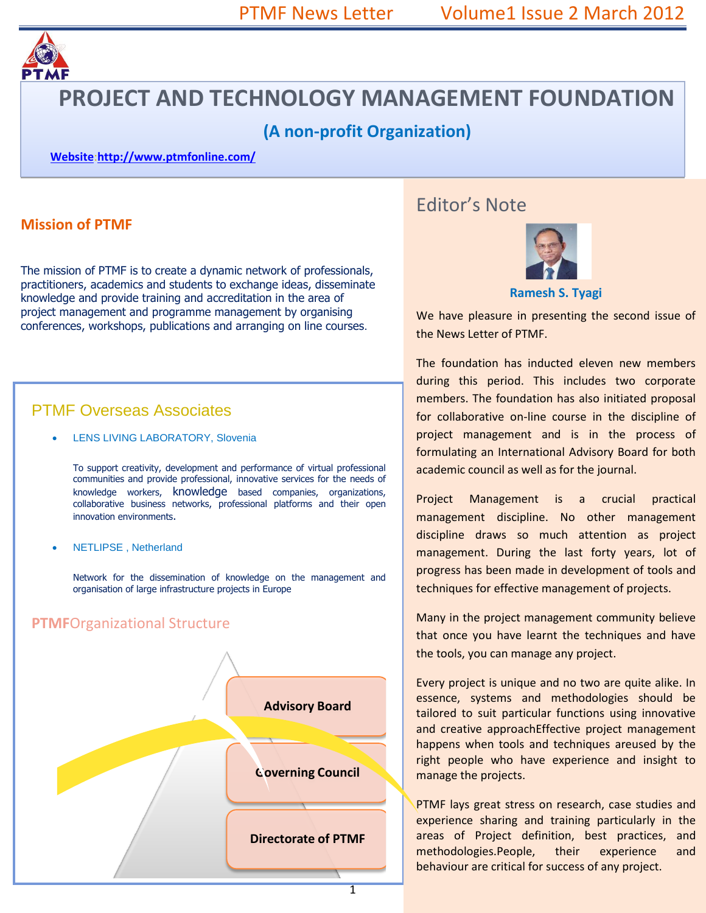

# **PROJECT AND TECHNOLOGY MANAGEMENT FOUNDATION**

# **(A non-profit Organization)**

**Website**:**<http://www.ptmfonline.com/>**

### **Mission of PTMF**

The mission of PTMF is to create a dynamic network of professionals, practitioners, academics and students to exchange ideas, disseminate knowledge and provide training and accreditation in the area of project management and programme management by organising conferences, workshops, publications and arranging on line courses.

## PTMF Overseas Associates

LENS LIVING LABORATORY, Slovenia

To support creativity, development and performance of virtual professional communities and provide professional, innovative services for the needs of knowledge workers, knowledge based companies, organizations, collaborative business networks, professional platforms and their open innovation environments.

NETLIPSE , Netherland

Network for the dissemination of knowledge on the management and organisation of large infrastructure projects in Europe



# Editor's Note



#### **Ramesh S. Tyagi**

We have pleasure in presenting the second issue of the News Letter of PTMF.

The foundation has inducted eleven new members during this period. This includes two corporate members. The foundation has also initiated proposal for collaborative on-line course in the discipline of project management and is in the process of formulating an International Advisory Board for both academic council as well as for the journal.

Project Management is a crucial practical management discipline. No other management discipline draws so much attention as project management. During the last forty years, lot of progress has been made in development of tools and techniques for effective management of projects.

Many in the project management community believe that once you have learnt the techniques and have the tools, you can manage any project.

Every project is unique and no two are quite alike. In essence, systems and methodologies should be tailored to suit particular functions using innovative and creative approachEffective project management happens when tools and techniques areused by the right people who have experience and insight to manage the projects.

PTMF lays great stress on research, case studies and experience sharing and training particularly in the areas of Project definition, best practices, and methodologies.People, their experience and behaviour are critical for success of any project.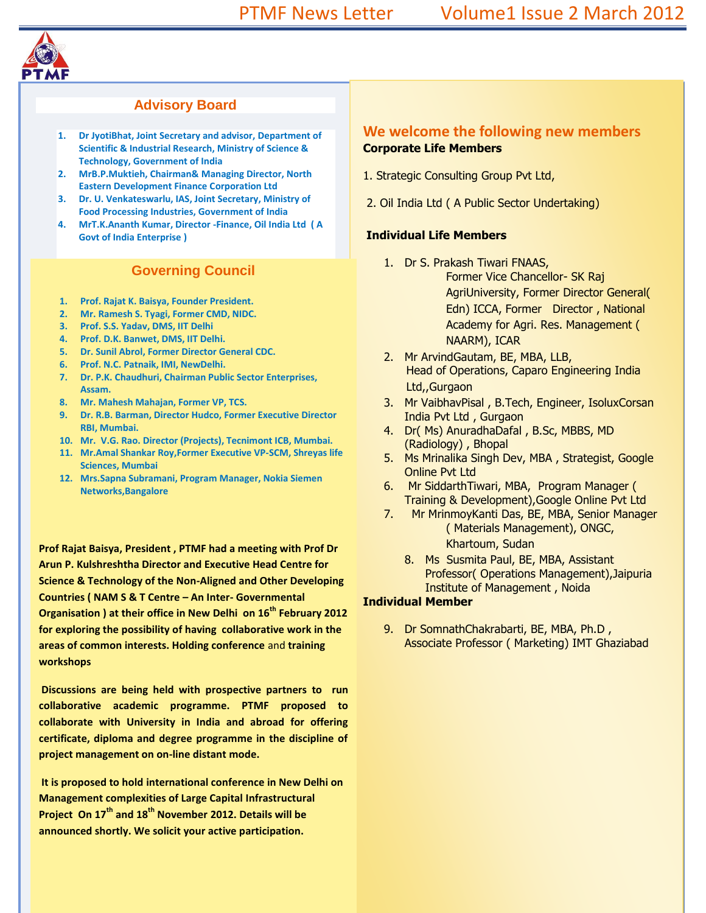

#### **Advisory Board**

- **1. Dr JyotiBhat, Joint Secretary and advisor, Department of Scientific & Industrial Research, Ministry of Science & Technology, Government of India**
- **2. MrB.P.Muktieh, Chairman& Managing Director, North Eastern Development Finance Corporation Ltd**
- **3. Dr. U. Venkateswarlu, IAS, Joint Secretary, Ministry of Food Processing Industries, Government of India**
- **4. MrT.K.Ananth Kumar, Director -Finance, Oil India Ltd ( A Govt of India Enterprise )**

#### **Governing Council**

- **1. Prof. Rajat K. Baisya, Founder President.**
- **2. Mr. Ramesh S. Tyagi, Former CMD, NIDC.**
- **3. Prof. S.S. Yadav, DMS, IIT Delhi**
- **4. Prof. D.K. Banwet, DMS, IIT Delhi.**
- **5. Dr. Sunil Abrol, Former Director General CDC.**
- **6. Prof. N.C. Patnaik, IMI, NewDelhi.**
- **7. Dr. P.K. Chaudhuri, Chairman Public Sector Enterprises, Assam.**
- **8. Mr. Mahesh Mahajan, Former VP, TCS.**
- **9. Dr. R.B. Barman, Director Hudco, Former Executive Director RBI, Mumbai.**
- **10. Mr. V.G. Rao. Director (Projects), Tecnimont ICB, Mumbai.**
- **11. Mr.Amal Shankar Roy,Former Executive VP-SCM, Shreyas life Sciences, Mumbai**
- **12. Mrs.Sapna Subramani, Program Manager, Nokia Siemen Networks,Bangalore**

**Prof Rajat Baisya, President , PTMF had a meeting with Prof Dr Arun P. Kulshreshtha Director and Executive Head Centre for Science & Technology of the Non-Aligned and Other Developing Countries ( NAM S & T Centre – An Inter- Governmental Organisation ) at their office in New Delhi on 16th February 2012 for exploring the possibility of having collaborative work in the areas of common interests. Holding conference** and **training workshops** 

**Discussions are being held with prospective partners to run collaborative academic programme. PTMF proposed to collaborate with University in India and abroad for offering certificate, diploma and degree programme in the discipline of project management on on-line distant mode.** 

**It is proposed to hold international conference in New Delhi on Management complexities of Large Capital Infrastructural Project On 17th and 18th November 2012. Details will be announced shortly. We solicit your active participation.**

#### **We welcome the following new members Corporate Life Members**

- 1. Strategic Consulting Group Pvt Ltd,
- 2. Oil India Ltd ( A Public Sector Undertaking)

#### **Individual Life Members**

- 1. Dr S. Prakash Tiwari FNAAS, Former Vice Chancellor- SK Raj AgriUniversity, Former Director General( Edn) ICCA, Former Director , National Academy for Agri. Res. Management ( NAARM), ICAR
- 2. Mr ArvindGautam, BE, MBA, LLB, Head of Operations, Caparo Engineering India Ltd,,Gurgaon
- 3. Mr VaibhavPisal , B.Tech, Engineer, IsoluxCorsan India Pvt Ltd , Gurgaon
- 4. Dr( Ms) AnuradhaDafal , B.Sc, MBBS, MD (Radiology) , Bhopal
- 5. Ms Mrinalika Singh Dev, MBA , Strategist, Google Online Pvt Ltd
- 6. Mr SiddarthTiwari, MBA, Program Manager ( Training & Development),Google Online Pvt Ltd
- 7. Mr MrinmoyKanti Das, BE, MBA, Senior Manager ( Materials Management), ONGC, Khartoum, Sudan
	- 8. Ms Susmita Paul, BE, MBA, Assistant Professor( Operations Management),Jaipuria Institute of Management , Noida

#### **Individual Member**

9. Dr SomnathChakrabarti, BE, MBA, Ph.D , Associate Professor ( Marketing) IMT Ghaziabad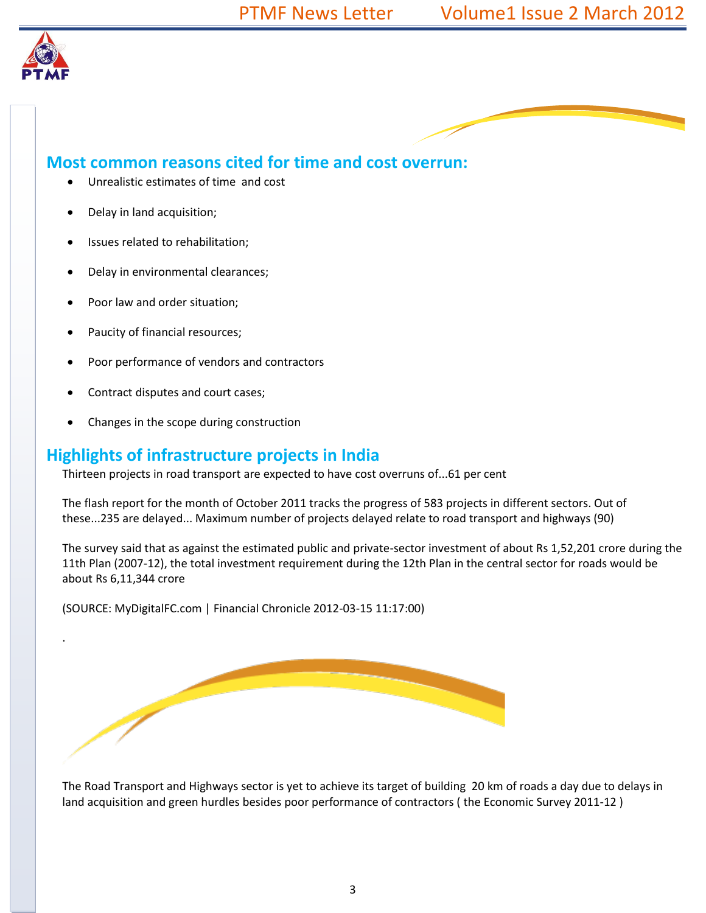

.

## **Most common reasons cited for time and cost overrun:**

- Unrealistic estimates of time and cost
- Delay in land acquisition;
- Issues related to rehabilitation;
- Delay in environmental clearances;
- Poor law and order situation;
- Paucity of financial resources;
- Poor performance of vendors and contractors
- Contract disputes and court cases;
- Changes in the scope during construction

### **Highlights of infrastructure projects in India**

Thirteen projects in road transport are expected to have cost overruns of...61 per cent

The flash report for the month of October 2011 tracks the progress of 583 projects in different sectors. Out of these...235 are delayed... Maximum number of projects delayed relate to road transport and highways (90)

The survey said that as against the estimated public and private-sector investment of about Rs 1,52,201 crore during the 11th Plan (2007-12), the total investment requirement during the 12th Plan in the central sector for roads would be about Rs 6,11,344 crore

(SOURCE: MyDigitalFC.com | Financial Chronicle 2012-03-15 11:17:00)

The Road Transport and Highways sector is yet to achieve its target of building 20 km of roads a day due to delays in land acquisition and green hurdles besides poor performance of contractors ( the Economic Survey 2011-12 )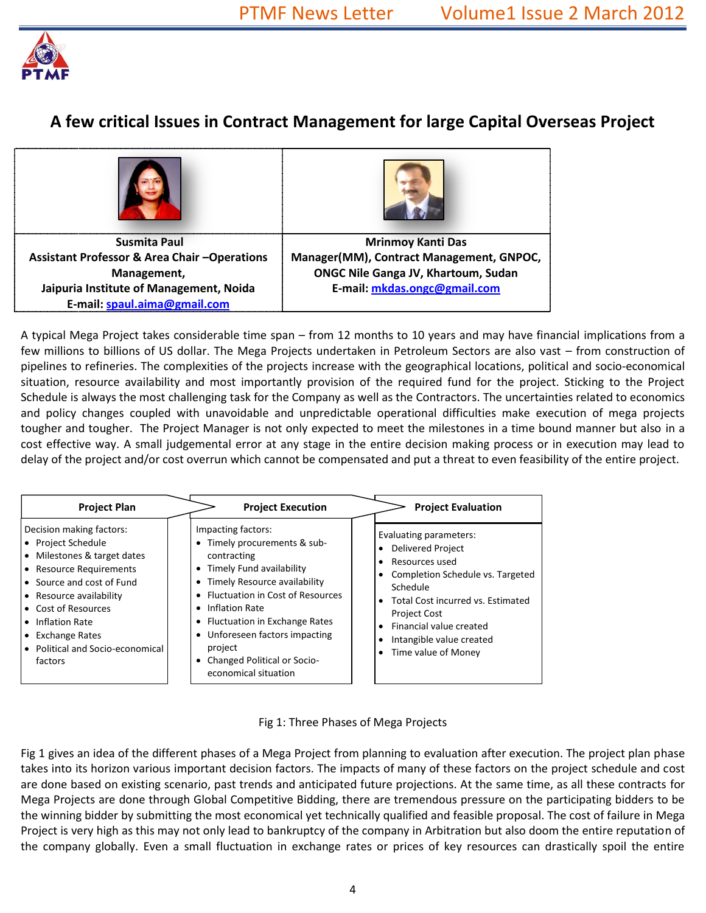

# **A few critical Issues in Contract Management for large Capital Overseas Project**

| Susmita Paul                                           | <b>Mrinmoy Kanti Das</b>                   |
|--------------------------------------------------------|--------------------------------------------|
| <b>Assistant Professor &amp; Area Chair-Operations</b> | Manager(MM), Contract Management, GNPOC,   |
| Management,                                            | <b>ONGC Nile Ganga JV, Khartoum, Sudan</b> |
| Jaipuria Institute of Management, Noida                | E-mail: mkdas.ongc@gmail.com               |
| E-mail: spaul.aima@gmail.com                           |                                            |

A typical Mega Project takes considerable time span – from 12 months to 10 years and may have financial implications from a few millions to billions of US dollar. The Mega Projects undertaken in Petroleum Sectors are also vast – from construction of pipelines to refineries. The complexities of the projects increase with the geographical locations, political and socio-economical situation, resource availability and most importantly provision of the required fund for the project. Sticking to the Project Schedule is always the most challenging task for the Company as well as the Contractors. The uncertainties related to economics and policy changes coupled with unavoidable and unpredictable operational difficulties make execution of mega projects tougher and tougher. The Project Manager is not only expected to meet the milestones in a time bound manner but also in a cost effective way. A small judgemental error at any stage in the entire decision making process or in execution may lead to delay of the project and/or cost overrun which cannot be compensated and put a threat to even feasibility of the entire project.

| <b>Project Plan</b>                                                                                                                                                                                                                                                                    | <b>Project Execution</b>                                                                                                                                                                                                                                                                                                                                                                                                    | <b>Project Evaluation</b>                                                                                                                                                                                                                                                                                                                                 |
|----------------------------------------------------------------------------------------------------------------------------------------------------------------------------------------------------------------------------------------------------------------------------------------|-----------------------------------------------------------------------------------------------------------------------------------------------------------------------------------------------------------------------------------------------------------------------------------------------------------------------------------------------------------------------------------------------------------------------------|-----------------------------------------------------------------------------------------------------------------------------------------------------------------------------------------------------------------------------------------------------------------------------------------------------------------------------------------------------------|
| Decision making factors:<br>• Project Schedule<br>• Milestones & target dates<br>• Resource Requirements<br>• Source and cost of Fund<br>• Resource availability<br><b>Cost of Resources</b><br>Inflation Rate<br><b>Exchange Rates</b><br>• Political and Socio-economical<br>factors | Impacting factors:<br>Timely procurements & sub-<br>$\bullet$<br>contracting<br>Timely Fund availability<br>$\bullet$<br>Timely Resource availability<br>$\bullet$<br><b>Fluctuation in Cost of Resources</b><br>$\bullet$<br>Inflation Rate<br>$\bullet$<br>Fluctuation in Exchange Rates<br>٠<br>Unforeseen factors impacting<br>$\bullet$<br>project<br>Changed Political or Socio-<br>$\bullet$<br>economical situation | Evaluating parameters:<br><b>Delivered Project</b><br>$\bullet$<br>Resources used<br>$\bullet$<br>Completion Schedule vs. Targeted<br>$\bullet$<br>Schedule<br>Total Cost incurred vs. Estimated<br>$\bullet$<br><b>Project Cost</b><br>Financial value created<br>$\bullet$<br>Intangible value created<br>$\bullet$<br>Time value of Money<br>$\bullet$ |

Fig 1: Three Phases of Mega Projects

Fig 1 gives an idea of the different phases of a Mega Project from planning to evaluation after execution. The project plan phase takes into its horizon various important decision factors. The impacts of many of these factors on the project schedule and cost are done based on existing scenario, past trends and anticipated future projections. At the same time, as all these contracts for Mega Projects are done through Global Competitive Bidding, there are tremendous pressure on the participating bidders to be the winning bidder by submitting the most economical yet technically qualified and feasible proposal. The cost of failure in Mega Project is very high as this may not only lead to bankruptcy of the company in Arbitration but also doom the entire reputation of the company globally. Even a small fluctuation in exchange rates or prices of key resources can drastically spoil the entire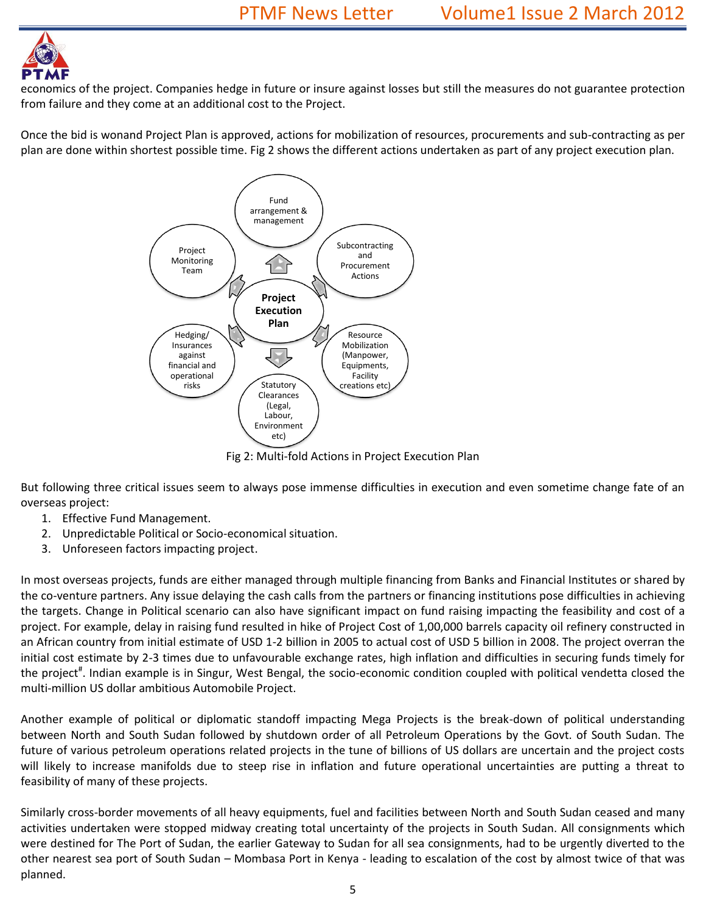

economics of the project. Companies hedge in future or insure against losses but still the measures do not guarantee protection from failure and they come at an additional cost to the Project.

Once the bid is wonand Project Plan is approved, actions for mobilization of resources, procurements and sub-contracting as per plan are done within shortest possible time. Fig 2 shows the different actions undertaken as part of any project execution plan.



Fig 2: Multi-fold Actions in Project Execution Plan

But following three critical issues seem to always pose immense difficulties in execution and even sometime change fate of an overseas project:

- 1. Effective Fund Management.
- 2. Unpredictable Political or Socio-economical situation.
- 3. Unforeseen factors impacting project.

In most overseas projects, funds are either managed through multiple financing from Banks and Financial Institutes or shared by the co-venture partners. Any issue delaying the cash calls from the partners or financing institutions pose difficulties in achieving the targets. Change in Political scenario can also have significant impact on fund raising impacting the feasibility and cost of a project. For example, delay in raising fund resulted in hike of Project Cost of 1,00,000 barrels capacity oil refinery constructed in an African country from initial estimate of USD 1-2 billion in 2005 to actual cost of USD 5 billion in 2008. The project overran the initial cost estimate by 2-3 times due to unfavourable exchange rates, high inflation and difficulties in securing funds timely for the project<sup>#</sup>. Indian example is in Singur, West Bengal, the socio-economic condition coupled with political vendetta closed the multi-million US dollar ambitious Automobile Project.

Another example of political or diplomatic standoff impacting Mega Projects is the break-down of political understanding between North and South Sudan followed by shutdown order of all Petroleum Operations by the Govt. of South Sudan. The future of various petroleum operations related projects in the tune of billions of US dollars are uncertain and the project costs will likely to increase manifolds due to steep rise in inflation and future operational uncertainties are putting a threat to feasibility of many of these projects.

Similarly cross-border movements of all heavy equipments, fuel and facilities between North and South Sudan ceased and many activities undertaken were stopped midway creating total uncertainty of the projects in South Sudan. All consignments which were destined for The Port of Sudan, the earlier Gateway to Sudan for all sea consignments, had to be urgently diverted to the other nearest sea port of South Sudan – Mombasa Port in Kenya - leading to escalation of the cost by almost twice of that was planned.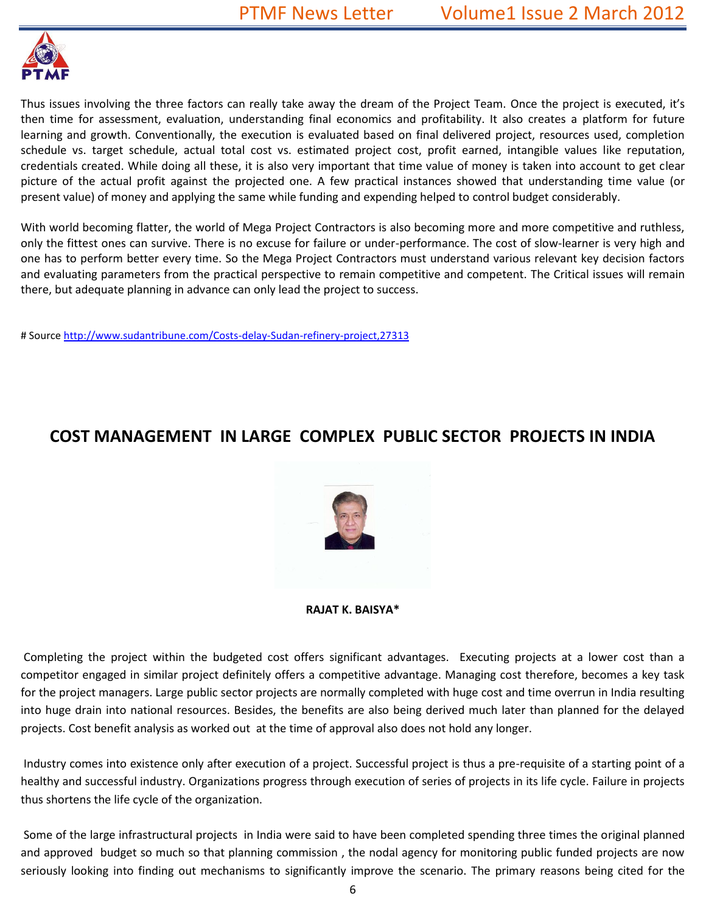

Thus issues involving the three factors can really take away the dream of the Project Team. Once the project is executed, it's then time for assessment, evaluation, understanding final economics and profitability. It also creates a platform for future learning and growth. Conventionally, the execution is evaluated based on final delivered project, resources used, completion schedule vs. target schedule, actual total cost vs. estimated project cost, profit earned, intangible values like reputation, credentials created. While doing all these, it is also very important that time value of money is taken into account to get clear picture of the actual profit against the projected one. A few practical instances showed that understanding time value (or present value) of money and applying the same while funding and expending helped to control budget considerably.

With world becoming flatter, the world of Mega Project Contractors is also becoming more and more competitive and ruthless, only the fittest ones can survive. There is no excuse for failure or under-performance. The cost of slow-learner is very high and one has to perform better every time. So the Mega Project Contractors must understand various relevant key decision factors and evaluating parameters from the practical perspective to remain competitive and competent. The Critical issues will remain there, but adequate planning in advance can only lead the project to success.

# Source<http://www.sudantribune.com/Costs-delay-Sudan-refinery-project,27313>

# **COST MANAGEMENT IN LARGE COMPLEX PUBLIC SECTOR PROJECTS IN INDIA**



**RAJAT K. BAISYA\***

Completing the project within the budgeted cost offers significant advantages. Executing projects at a lower cost than a competitor engaged in similar project definitely offers a competitive advantage. Managing cost therefore, becomes a key task for the project managers. Large public sector projects are normally completed with huge cost and time overrun in India resulting into huge drain into national resources. Besides, the benefits are also being derived much later than planned for the delayed projects. Cost benefit analysis as worked out at the time of approval also does not hold any longer.

Industry comes into existence only after execution of a project. Successful project is thus a pre-requisite of a starting point of a healthy and successful industry. Organizations progress through execution of series of projects in its life cycle. Failure in projects thus shortens the life cycle of the organization.

Some of the large infrastructural projects in India were said to have been completed spending three times the original planned and approved budget so much so that planning commission , the nodal agency for monitoring public funded projects are now seriously looking into finding out mechanisms to significantly improve the scenario. The primary reasons being cited for the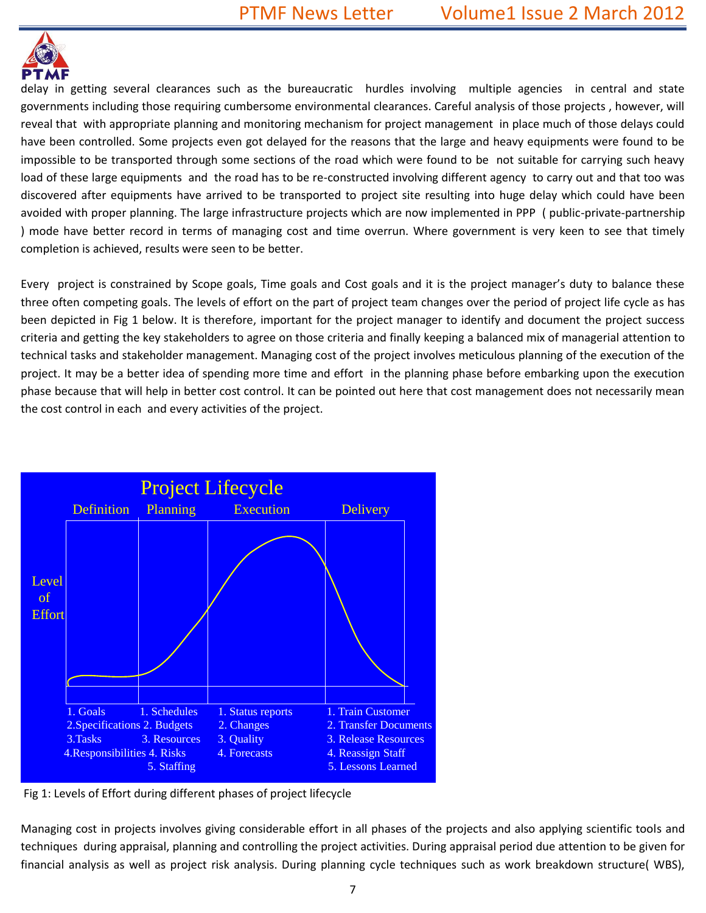

delay in getting several clearances such as the bureaucratic hurdles involving multiple agencies in central and state governments including those requiring cumbersome environmental clearances. Careful analysis of those projects , however, will reveal that with appropriate planning and monitoring mechanism for project management in place much of those delays could have been controlled. Some projects even got delayed for the reasons that the large and heavy equipments were found to be impossible to be transported through some sections of the road which were found to be not suitable for carrying such heavy load of these large equipments and the road has to be re-constructed involving different agency to carry out and that too was discovered after equipments have arrived to be transported to project site resulting into huge delay which could have been avoided with proper planning. The large infrastructure projects which are now implemented in PPP ( public-private-partnership ) mode have better record in terms of managing cost and time overrun. Where government is very keen to see that timely completion is achieved, results were seen to be better.

Every project is constrained by Scope goals, Time goals and Cost goals and it is the project manager's duty to balance these three often competing goals. The levels of effort on the part of project team changes over the period of project life cycle as has been depicted in Fig 1 below. It is therefore, important for the project manager to identify and document the project success criteria and getting the key stakeholders to agree on those criteria and finally keeping a balanced mix of managerial attention to technical tasks and stakeholder management. Managing cost of the project involves meticulous planning of the execution of the project. It may be a better idea of spending more time and effort in the planning phase before embarking upon the execution phase because that will help in better cost control. It can be pointed out here that cost management does not necessarily mean the cost control in each and every activities of the project.



Fig 1: Levels of Effort during different phases of project lifecycle

Managing cost in projects involves giving considerable effort in all phases of the projects and also applying scientific tools and techniques during appraisal, planning and controlling the project activities. During appraisal period due attention to be given for financial analysis as well as project risk analysis. During planning cycle techniques such as work breakdown structure( WBS),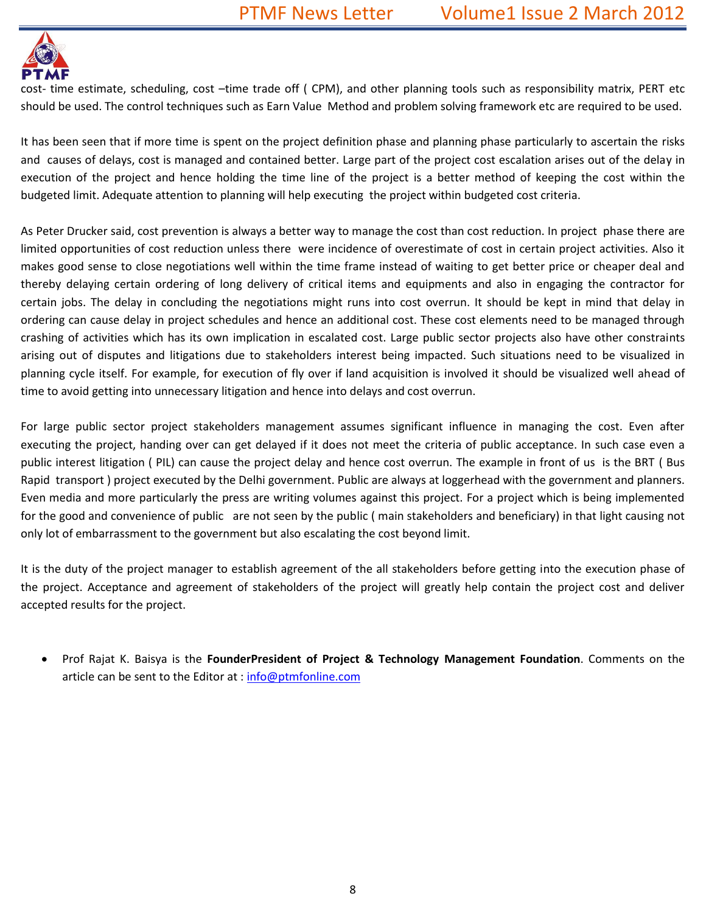

cost- time estimate, scheduling, cost –time trade off ( CPM), and other planning tools such as responsibility matrix, PERT etc should be used. The control techniques such as Earn Value Method and problem solving framework etc are required to be used.

It has been seen that if more time is spent on the project definition phase and planning phase particularly to ascertain the risks and causes of delays, cost is managed and contained better. Large part of the project cost escalation arises out of the delay in execution of the project and hence holding the time line of the project is a better method of keeping the cost within the budgeted limit. Adequate attention to planning will help executing the project within budgeted cost criteria.

As Peter Drucker said, cost prevention is always a better way to manage the cost than cost reduction. In project phase there are limited opportunities of cost reduction unless there were incidence of overestimate of cost in certain project activities. Also it makes good sense to close negotiations well within the time frame instead of waiting to get better price or cheaper deal and thereby delaying certain ordering of long delivery of critical items and equipments and also in engaging the contractor for certain jobs. The delay in concluding the negotiations might runs into cost overrun. It should be kept in mind that delay in ordering can cause delay in project schedules and hence an additional cost. These cost elements need to be managed through crashing of activities which has its own implication in escalated cost. Large public sector projects also have other constraints arising out of disputes and litigations due to stakeholders interest being impacted. Such situations need to be visualized in planning cycle itself. For example, for execution of fly over if land acquisition is involved it should be visualized well ahead of time to avoid getting into unnecessary litigation and hence into delays and cost overrun.

For large public sector project stakeholders management assumes significant influence in managing the cost. Even after executing the project, handing over can get delayed if it does not meet the criteria of public acceptance. In such case even a public interest litigation ( PIL) can cause the project delay and hence cost overrun. The example in front of us is the BRT ( Bus Rapid transport ) project executed by the Delhi government. Public are always at loggerhead with the government and planners. Even media and more particularly the press are writing volumes against this project. For a project which is being implemented for the good and convenience of public are not seen by the public ( main stakeholders and beneficiary) in that light causing not only lot of embarrassment to the government but also escalating the cost beyond limit.

It is the duty of the project manager to establish agreement of the all stakeholders before getting into the execution phase of the project. Acceptance and agreement of stakeholders of the project will greatly help contain the project cost and deliver accepted results for the project.

 Prof Rajat K. Baisya is the **FounderPresident of Project & Technology Management Foundation**. Comments on the article can be sent to the Editor at : [info@ptmfonline.com](mailto:info@ptmfonline.com)